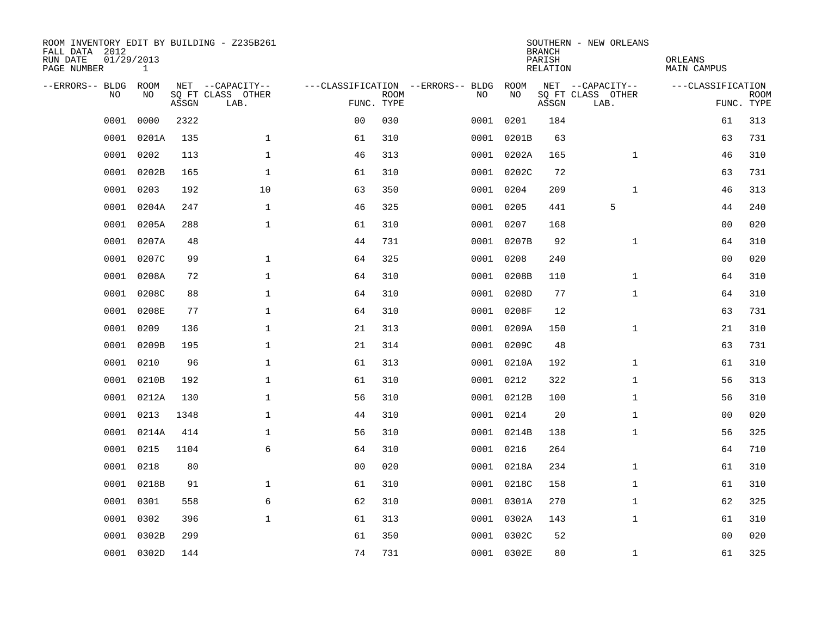| ROOM INVENTORY EDIT BY BUILDING - Z235B261<br>FALL DATA 2012<br>RUN DATE<br>PAGE NUMBER | 01/29/2013<br>$\mathbf{1}$ |       |                           |                |             |                                   |            | <b>BRANCH</b><br>PARISH<br><b>RELATION</b> | SOUTHERN - NEW ORLEANS    | ORLEANS<br><b>MAIN CAMPUS</b> |                           |
|-----------------------------------------------------------------------------------------|----------------------------|-------|---------------------------|----------------|-------------|-----------------------------------|------------|--------------------------------------------|---------------------------|-------------------------------|---------------------------|
| --ERRORS-- BLDG                                                                         | ROOM                       |       | NET --CAPACITY--          |                |             | ---CLASSIFICATION --ERRORS-- BLDG | ROOM       |                                            | NET --CAPACITY--          | ---CLASSIFICATION             |                           |
| NO.                                                                                     | NO                         | ASSGN | SQ FT CLASS OTHER<br>LAB. | FUNC. TYPE     | <b>ROOM</b> | NO                                | NO         | ASSGN                                      | SQ FT CLASS OTHER<br>LAB. |                               | <b>ROOM</b><br>FUNC. TYPE |
| 0001                                                                                    | 0000                       | 2322  |                           | 0 <sub>0</sub> | 030         | 0001                              | 0201       | 184                                        |                           | 61                            | 313                       |
| 0001                                                                                    | 0201A                      | 135   | $\mathbf 1$               | 61             | 310         | 0001                              | 0201B      | 63                                         |                           | 63                            | 731                       |
| 0001                                                                                    | 0202                       | 113   | $\mathbf 1$               | 46             | 313         |                                   | 0001 0202A | 165                                        | $\mathbf{1}$              | 46                            | 310                       |
| 0001                                                                                    | 0202B                      | 165   | $\mathbf 1$               | 61             | 310         |                                   | 0001 0202C | 72                                         |                           | 63                            | 731                       |
| 0001                                                                                    | 0203                       | 192   | 10                        | 63             | 350         |                                   | 0001 0204  | 209                                        | $\mathbf{1}$              | 46                            | 313                       |
| 0001                                                                                    | 0204A                      | 247   | $\mathbf 1$               | 46             | 325         |                                   | 0001 0205  | 441                                        | 5                         | 44                            | 240                       |
| 0001                                                                                    | 0205A                      | 288   | $\mathbf{1}$              | 61             | 310         |                                   | 0001 0207  | 168                                        |                           | 0 <sub>0</sub>                | 020                       |
| 0001                                                                                    | 0207A                      | 48    |                           | 44             | 731         |                                   | 0001 0207B | 92                                         | $\mathbf{1}$              | 64                            | 310                       |
| 0001                                                                                    | 0207C                      | 99    | $\mathbf{1}$              | 64             | 325         |                                   | 0001 0208  | 240                                        |                           | 0 <sub>0</sub>                | 020                       |
| 0001                                                                                    | 0208A                      | 72    | 1                         | 64             | 310         |                                   | 0001 0208B | 110                                        | $\mathbf{1}$              | 64                            | 310                       |
| 0001                                                                                    | 0208C                      | 88    | $\mathbf 1$               | 64             | 310         |                                   | 0001 0208D | 77                                         | $\mathbf{1}$              | 64                            | 310                       |
| 0001                                                                                    | 0208E                      | 77    | $\mathbf 1$               | 64             | 310         |                                   | 0001 0208F | 12                                         |                           | 63                            | 731                       |
| 0001                                                                                    | 0209                       | 136   | $\mathbf 1$               | 21             | 313         | 0001                              | 0209A      | 150                                        | $\mathbf{1}$              | 21                            | 310                       |
| 0001                                                                                    | 0209B                      | 195   | $\mathbf 1$               | 21             | 314         |                                   | 0001 0209C | 48                                         |                           | 63                            | 731                       |
| 0001                                                                                    | 0210                       | 96    | $\mathbf{1}$              | 61             | 313         |                                   | 0001 0210A | 192                                        | $\mathbf{1}$              | 61                            | 310                       |
| 0001                                                                                    | 0210B                      | 192   | 1                         | 61             | 310         |                                   | 0001 0212  | 322                                        | $\mathbf{1}$              | 56                            | 313                       |
| 0001                                                                                    | 0212A                      | 130   | $\mathbf 1$               | 56             | 310         |                                   | 0001 0212B | 100                                        | $\mathbf{1}$              | 56                            | 310                       |
| 0001                                                                                    | 0213                       | 1348  | $\mathbf 1$               | 44             | 310         |                                   | 0001 0214  | 20                                         | $\mathbf{1}$              | 00                            | 020                       |
| 0001                                                                                    | 0214A                      | 414   | $\mathbf 1$               | 56             | 310         |                                   | 0001 0214B | 138                                        | $\mathbf{1}$              | 56                            | 325                       |
| 0001                                                                                    | 0215                       | 1104  | 6                         | 64             | 310         |                                   | 0001 0216  | 264                                        |                           | 64                            | 710                       |
| 0001                                                                                    | 0218                       | 80    |                           | 0 <sub>0</sub> | 020         |                                   | 0001 0218A | 234                                        | $\mathbf{1}$              | 61                            | 310                       |
| 0001                                                                                    | 0218B                      | 91    | $\mathbf 1$               | 61             | 310         |                                   | 0001 0218C | 158                                        | $\mathbf{1}$              | 61                            | 310                       |
| 0001                                                                                    | 0301                       | 558   | 6                         | 62             | 310         |                                   | 0001 0301A | 270                                        | $\mathbf{1}$              | 62                            | 325                       |
| 0001                                                                                    | 0302                       | 396   | $\mathbf{1}$              | 61             | 313         |                                   | 0001 0302A | 143                                        | $\mathbf{1}$              | 61                            | 310                       |
| 0001                                                                                    | 0302B                      | 299   |                           | 61             | 350         |                                   | 0001 0302C | 52                                         |                           | 0 <sub>0</sub>                | 020                       |
|                                                                                         | 0001 0302D                 | 144   |                           | 74             | 731         |                                   | 0001 0302E | 80                                         | $\mathbf{1}$              | 61                            | 325                       |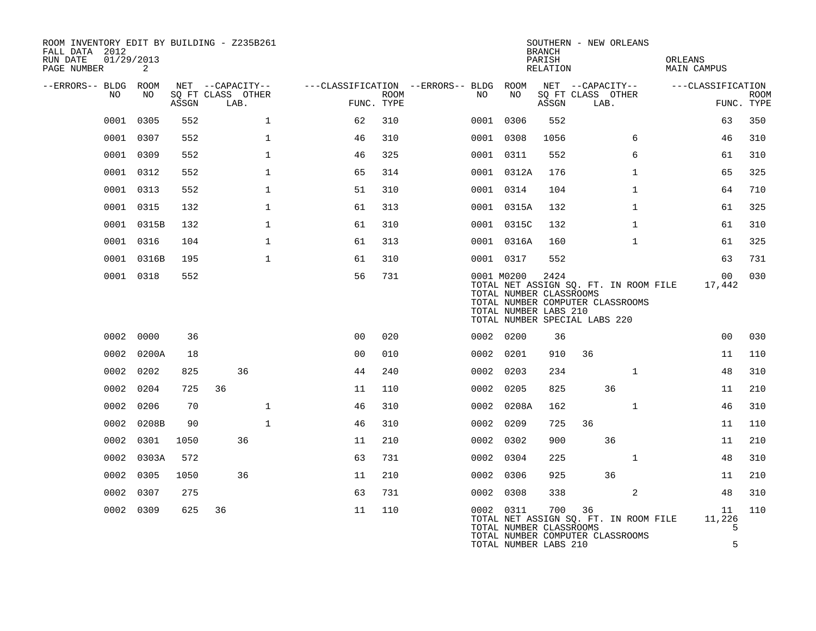| ROOM INVENTORY EDIT BY BUILDING - Z235B261<br>FALL DATA 2012<br>01/29/2013<br>RUN DATE<br>PAGE NUMBER | 2          |       |                                               |                |                    |                                              |                                                                | <b>BRANCH</b><br>PARISH<br>RELATION | SOUTHERN - NEW ORLEANS                                                                                     | ORLEANS<br><b>MAIN CAMPUS</b> |                           |
|-------------------------------------------------------------------------------------------------------|------------|-------|-----------------------------------------------|----------------|--------------------|----------------------------------------------|----------------------------------------------------------------|-------------------------------------|------------------------------------------------------------------------------------------------------------|-------------------------------|---------------------------|
| --ERRORS-- BLDG ROOM<br>NO                                                                            | NO         | ASSGN | NET --CAPACITY--<br>SQ FT CLASS OTHER<br>LAB. |                | ROOM<br>FUNC. TYPE | ---CLASSIFICATION --ERRORS-- BLDG ROOM<br>NO | NO                                                             | ASSGN                               | NET --CAPACITY-- ---CLASSIFICATION<br>SQ FT CLASS OTHER<br>LAB.                                            |                               | <b>ROOM</b><br>FUNC. TYPE |
| 0001                                                                                                  | 0305       | 552   | $\mathbf{1}$                                  | 62             | 310                |                                              | 0001 0306                                                      | 552                                 |                                                                                                            | 63                            | 350                       |
|                                                                                                       | 0001 0307  | 552   | 1                                             | 46             | 310                |                                              | 0001 0308                                                      | 1056                                | 6                                                                                                          | 46                            | 310                       |
|                                                                                                       | 0001 0309  | 552   | $\mathbf{1}$                                  | 46             | 325                |                                              | 0001 0311                                                      | 552                                 | 6                                                                                                          | 61                            | 310                       |
| 0001                                                                                                  | 0312       | 552   | $\mathbf 1$                                   | 65             | 314                |                                              | 0001 0312A                                                     | 176                                 | $\mathbf{1}$                                                                                               | 65                            | 325                       |
|                                                                                                       | 0001 0313  | 552   | $\mathbf 1$                                   | 51             | 310                |                                              | 0001 0314                                                      | 104                                 | $\mathbf{1}$                                                                                               | 64                            | 710                       |
|                                                                                                       | 0001 0315  | 132   | $\mathbf 1$                                   | 61             | 313                |                                              | 0001 0315A                                                     | 132                                 | $\mathbf{1}$                                                                                               | 61                            | 325                       |
|                                                                                                       | 0001 0315B | 132   | $\mathbf 1$                                   | 61             | 310                |                                              | 0001 0315C                                                     | 132                                 | $\mathbf{1}$                                                                                               | 61                            | 310                       |
|                                                                                                       | 0001 0316  | 104   | $\mathbf{1}$                                  | 61             | 313                |                                              | 0001 0316A                                                     | 160                                 | $\mathbf{1}$                                                                                               | 61                            | 325                       |
|                                                                                                       | 0001 0316B | 195   | $\mathbf{1}$                                  | 61             | 310                |                                              | 0001 0317                                                      | 552                                 |                                                                                                            | 63                            | 731                       |
|                                                                                                       | 0001 0318  | 552   |                                               | 56             | 731                |                                              | 0001 M0200<br>TOTAL NUMBER CLASSROOMS<br>TOTAL NUMBER LABS 210 | 2424                                | TOTAL NET ASSIGN SQ. FT. IN ROOM FILE<br>TOTAL NUMBER COMPUTER CLASSROOMS<br>TOTAL NUMBER SPECIAL LABS 220 | 00 <sub>o</sub><br>17,442     | 030                       |
|                                                                                                       | 0002 0000  | 36    |                                               | 0 <sub>0</sub> | 020                |                                              | 0002 0200                                                      | 36                                  |                                                                                                            | 0 <sub>0</sub>                | 030                       |
|                                                                                                       | 0002 0200A | 18    |                                               | 0 <sub>0</sub> | 010                |                                              | 0002 0201                                                      | 910                                 | 36                                                                                                         | 11                            | 110                       |
|                                                                                                       | 0002 0202  | 825   | 36                                            | 44             | 240                |                                              | 0002 0203                                                      | 234                                 | $\mathbf{1}$                                                                                               | 48                            | 310                       |
|                                                                                                       | 0002 0204  | 725   | 36                                            | 11             | 110                |                                              | 0002 0205                                                      | 825                                 | 36                                                                                                         | 11                            | 210                       |
| 0002                                                                                                  | 0206       | 70    | $\mathbf{1}$                                  | 46             | 310                |                                              | 0002 0208A                                                     | 162                                 | $\mathbf{1}$                                                                                               | 46                            | 310                       |
|                                                                                                       | 0002 0208B | 90    | $\mathbf{1}$                                  | 46             | 310                |                                              | 0002 0209                                                      | 725                                 | 36                                                                                                         | 11                            | 110                       |
|                                                                                                       | 0002 0301  | 1050  | 36                                            | 11             | 210                |                                              | 0002 0302                                                      | 900                                 | 36                                                                                                         | 11                            | 210                       |
|                                                                                                       | 0002 0303A | 572   |                                               | 63             | 731                |                                              | 0002 0304                                                      | 225                                 | $\mathbf{1}$                                                                                               | 48                            | 310                       |
|                                                                                                       | 0002 0305  | 1050  | 36                                            | 11             | 210                |                                              | 0002 0306                                                      | 925                                 | 36                                                                                                         | 11                            | 210                       |
|                                                                                                       | 0002 0307  | 275   |                                               | 63             | 731                |                                              | 0002 0308                                                      | 338                                 | 2                                                                                                          | 48                            | 310                       |
|                                                                                                       | 0002 0309  | 625   | 36                                            | 11             | 110                |                                              | 0002 0311<br>TOTAL NUMBER CLASSROOMS<br>TOTAL NUMBER LABS 210  | 700                                 | 36<br>TOTAL NET ASSIGN SQ. FT. IN ROOM FILE<br>TOTAL NUMBER COMPUTER CLASSROOMS                            | 11<br>11,226<br>5<br>5        | 110                       |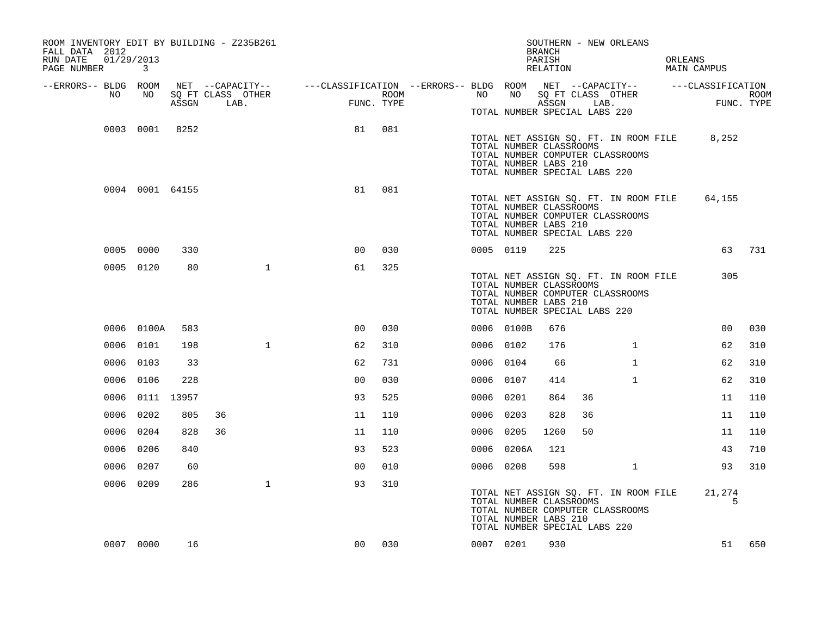| ROOM INVENTORY EDIT BY BUILDING - Z235B261<br>FALL DATA 2012<br>RUN DATE<br>PAGE NUMBER | 01/29/2013<br>$\mathbf{3}$ |       |                           |                |      | SOUTHERN - NEW ORLEANS<br><b>BRANCH</b><br>PARISH<br>RELATION                                                                                                        | ORLEANS<br><b>MAIN CAMPUS</b> |
|-----------------------------------------------------------------------------------------|----------------------------|-------|---------------------------|----------------|------|----------------------------------------------------------------------------------------------------------------------------------------------------------------------|-------------------------------|
| --ERRORS-- BLDG ROOM<br>NO                                                              | NO                         | ASSGN | SQ FT CLASS OTHER<br>LAB. | FUNC. TYPE     | ROOM | NET --CAPACITY-- - ---CLASSIFICATION --ERRORS-- BLDG ROOM NET --CAPACITY-- - ---CLASSIFICATION<br>NO 11<br>SQ FT CLASS OTHER<br>NO<br>ASSGN LAB.                     | ROOM<br>FUNC. TYPE            |
|                                                                                         |                            |       |                           |                |      | TOTAL NUMBER SPECIAL LABS 220                                                                                                                                        |                               |
|                                                                                         | 0003 0001 8252             |       |                           | 81             | 081  | TOTAL NET ASSIGN SQ. FT. IN ROOM FILE 8,252<br>TOTAL NUMBER CLASSROOMS<br>TOTAL NUMBER COMPUTER CLASSROOMS<br>TOTAL NUMBER LABS 210<br>TOTAL NUMBER SPECIAL LABS 220 |                               |
|                                                                                         | 0004 0001 64155            |       |                           | 81             | 081  | TOTAL NET ASSIGN SQ. FT. IN ROOM FILE<br>TOTAL NUMBER CLASSROOMS<br>TOTAL NUMBER COMPUTER CLASSROOMS<br>TOTAL NUMBER LABS 210<br>TOTAL NUMBER SPECIAL LABS 220       | 64,155                        |
|                                                                                         | 0005 0000                  | 330   |                           | 0 <sup>0</sup> | 030  | 0005 0119<br>225                                                                                                                                                     | 63 731                        |
|                                                                                         | 0005 0120                  | 80    | $\mathbf{1}$              | 61             | 325  | TOTAL NET ASSIGN SQ. FT. IN ROOM FILE<br>TOTAL NUMBER CLASSROOMS<br>TOTAL NUMBER COMPUTER CLASSROOMS<br>TOTAL NUMBER LABS 210<br>TOTAL NUMBER SPECIAL LABS 220       | 305                           |
|                                                                                         | 0006 0100A                 | 583   |                           | 0 <sup>0</sup> | 030  | 0006 0100B<br>676                                                                                                                                                    | 0 <sub>0</sub><br>030         |
|                                                                                         | 0006 0101                  | 198   | $\mathbf{1}$              | 62             | 310  | 0006 0102<br>176<br>$\mathbf{1}$                                                                                                                                     | 62<br>310                     |
|                                                                                         | 0006 0103                  | 33    |                           | 62             | 731  | 0006 0104<br>$\mathbf{1}$<br>66                                                                                                                                      | 62<br>310                     |
|                                                                                         | 0006 0106                  | 228   |                           | 0 <sub>0</sub> | 030  | $\mathbf{1}$<br>0006 0107<br>414                                                                                                                                     | 62<br>310                     |
|                                                                                         | 0006 0111 13957            |       |                           | 93             | 525  | 0006 0201<br>864<br>36                                                                                                                                               | 11<br>110                     |
|                                                                                         | 0006 0202                  | 805   | 36                        | 11             | 110  | 0006 0203<br>828<br>36                                                                                                                                               | 110<br>11                     |
|                                                                                         | 0006 0204                  | 828   | 36                        | 11             | 110  | 0006 0205<br>1260<br>50                                                                                                                                              | 110<br>11                     |
|                                                                                         | 0006 0206                  | 840   |                           | 93             | 523  | 0006 0206A<br>121                                                                                                                                                    | 710<br>43                     |
|                                                                                         | 0006 0207                  | 60    |                           | 0 <sup>0</sup> | 010  | 0006 0208<br>598<br>$\mathbf{1}$                                                                                                                                     | 310<br>93                     |
|                                                                                         | 0006 0209                  | 286   | $\mathbf{1}$              | 93             | 310  | TOTAL NET ASSIGN SQ. FT. IN ROOM FILE<br>TOTAL NUMBER CLASSROOMS<br>TOTAL NUMBER COMPUTER CLASSROOMS<br>TOTAL NUMBER LABS 210<br>TOTAL NUMBER SPECIAL LABS 220       | 21,274<br>5                   |
|                                                                                         | 0007 0000                  | 16    |                           | 0 <sub>0</sub> | 030  | 0007 0201<br>930                                                                                                                                                     | 51 650                        |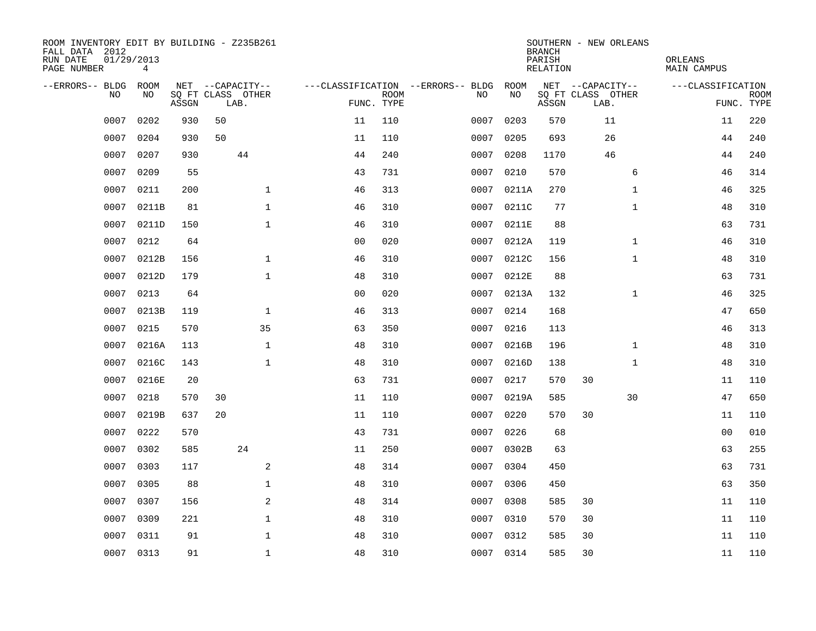| ROOM INVENTORY EDIT BY BUILDING - Z235B261<br>FALL DATA 2012<br>RUN DATE | 01/29/2013 |       |                           |                |                |             |                                   |            | <b>BRANCH</b><br>PARISH | SOUTHERN - NEW ORLEANS    | ORLEANS           |                           |
|--------------------------------------------------------------------------|------------|-------|---------------------------|----------------|----------------|-------------|-----------------------------------|------------|-------------------------|---------------------------|-------------------|---------------------------|
| PAGE NUMBER                                                              | 4          |       |                           |                |                |             |                                   |            | RELATION                |                           | MAIN CAMPUS       |                           |
| --ERRORS-- BLDG                                                          | ROOM       |       | NET --CAPACITY--          |                |                |             | ---CLASSIFICATION --ERRORS-- BLDG | ROOM<br>NO |                         | NET --CAPACITY--          | ---CLASSIFICATION |                           |
| NO.                                                                      | NO         | ASSGN | SQ FT CLASS OTHER<br>LAB. |                | FUNC. TYPE     | <b>ROOM</b> | NO                                |            | ASSGN                   | SQ FT CLASS OTHER<br>LAB. |                   | <b>ROOM</b><br>FUNC. TYPE |
| 0007                                                                     | 0202       | 930   | 50                        |                | 11             | 110         | 0007                              | 0203       | 570                     | 11                        | 11                | 220                       |
| 0007                                                                     | 0204       | 930   | 50                        |                | 11             | 110         | 0007                              | 0205       | 693                     | 26                        | 44                | 240                       |
| 0007                                                                     | 0207       | 930   | 44                        |                | 44             | 240         | 0007                              | 0208       | 1170                    | 46                        | 44                | 240                       |
| 0007                                                                     | 0209       | 55    |                           |                | 43             | 731         | 0007                              | 0210       | 570                     | 6                         | 46                | 314                       |
| 0007                                                                     | 0211       | 200   |                           | $\mathbf 1$    | 46             | 313         | 0007                              | 0211A      | 270                     | $\mathbf{1}$              | 46                | 325                       |
| 0007                                                                     | 0211B      | 81    |                           | $\mathbf 1$    | 46             | 310         | 0007                              | 0211C      | 77                      | $\mathbf{1}$              | 48                | 310                       |
| 0007                                                                     | 0211D      | 150   |                           | $\mathbf{1}$   | 46             | 310         | 0007                              | 0211E      | 88                      |                           | 63                | 731                       |
| 0007                                                                     | 0212       | 64    |                           |                | 0 <sub>0</sub> | 020         | 0007                              | 0212A      | 119                     | $\mathbf{1}$              | 46                | 310                       |
| 0007                                                                     | 0212B      | 156   |                           | $\mathbf 1$    | 46             | 310         | 0007                              | 0212C      | 156                     | $\mathbf{1}$              | 48                | 310                       |
| 0007                                                                     | 0212D      | 179   |                           | $\mathbf{1}$   | 48             | 310         | 0007                              | 0212E      | 88                      |                           | 63                | 731                       |
| 0007                                                                     | 0213       | 64    |                           |                | 0 <sub>0</sub> | 020         | 0007                              | 0213A      | 132                     | $\mathbf{1}$              | 46                | 325                       |
| 0007                                                                     | 0213B      | 119   |                           | $\mathbf{1}$   | 46             | 313         |                                   | 0007 0214  | 168                     |                           | 47                | 650                       |
| 0007                                                                     | 0215       | 570   |                           | 35             | 63             | 350         | 0007                              | 0216       | 113                     |                           | 46                | 313                       |
| 0007                                                                     | 0216A      | 113   |                           | $\mathbf 1$    | 48             | 310         | 0007                              | 0216B      | 196                     | $\mathbf{1}$              | 48                | 310                       |
| 0007                                                                     | 0216C      | 143   |                           | $\mathbf{1}$   | 48             | 310         | 0007                              | 0216D      | 138                     | $\mathbf{1}$              | 48                | 310                       |
| 0007                                                                     | 0216E      | 20    |                           |                | 63             | 731         | 0007                              | 0217       | 570                     | 30                        | 11                | 110                       |
| 0007                                                                     | 0218       | 570   | 30                        |                | 11             | 110         | 0007                              | 0219A      | 585                     | 30                        | 47                | 650                       |
| 0007                                                                     | 0219B      | 637   | 20                        |                | 11             | 110         | 0007                              | 0220       | 570                     | 30                        | 11                | 110                       |
| 0007                                                                     | 0222       | 570   |                           |                | 43             | 731         | 0007                              | 0226       | 68                      |                           | 0 <sub>0</sub>    | 010                       |
| 0007                                                                     | 0302       | 585   | 24                        |                | 11             | 250         | 0007                              | 0302B      | 63                      |                           | 63                | 255                       |
| 0007                                                                     | 0303       | 117   |                           | 2              | 48             | 314         | 0007                              | 0304       | 450                     |                           | 63                | 731                       |
| 0007                                                                     | 0305       | 88    |                           | $\mathbf 1$    | 48             | 310         | 0007                              | 0306       | 450                     |                           | 63                | 350                       |
| 0007                                                                     | 0307       | 156   |                           | $\overline{a}$ | 48             | 314         | 0007                              | 0308       | 585                     | 30                        | 11                | 110                       |
| 0007                                                                     | 0309       | 221   |                           | $\mathbf 1$    | 48             | 310         | 0007                              | 0310       | 570                     | 30                        | 11                | 110                       |
| 0007                                                                     | 0311       | 91    |                           | $\mathbf{1}$   | 48             | 310         | 0007                              | 0312       | 585                     | 30                        | 11                | 110                       |
|                                                                          | 0007 0313  | 91    |                           | $\mathbf{1}$   | 48             | 310         |                                   | 0007 0314  | 585                     | 30                        | 11                | 110                       |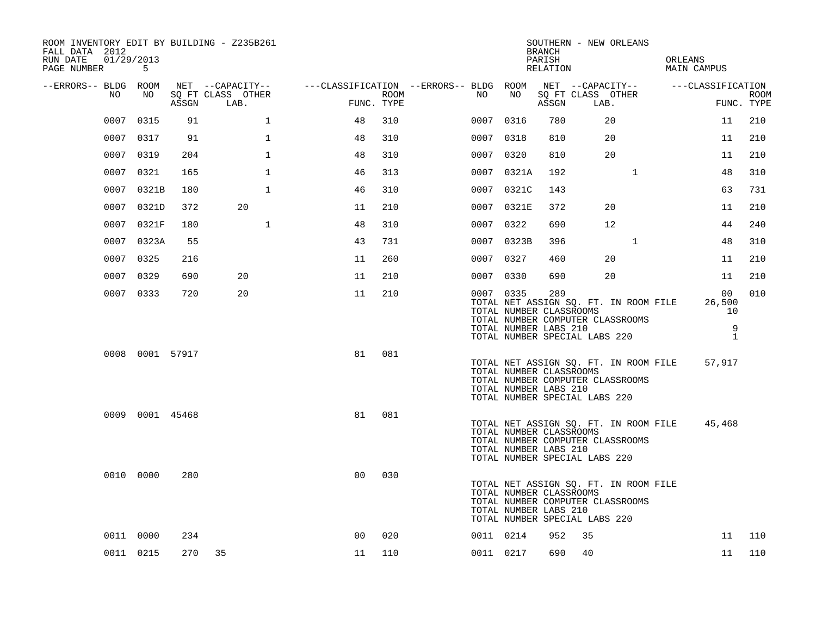| ROOM INVENTORY EDIT BY BUILDING - Z235B261<br>FALL DATA 2012<br>RUN DATE<br>01/29/2013<br>PAGE NUMBER | 5               |       |                           |                                                           |      |           |                                                               | BRANCH<br>PARISH<br>RELATION | SOUTHERN - NEW ORLEANS                                                                                     |              | ORLEANS<br>MAIN CAMPUS             |                                         |             |
|-------------------------------------------------------------------------------------------------------|-----------------|-------|---------------------------|-----------------------------------------------------------|------|-----------|---------------------------------------------------------------|------------------------------|------------------------------------------------------------------------------------------------------------|--------------|------------------------------------|-----------------------------------------|-------------|
| --ERRORS-- BLDG ROOM                                                                                  |                 |       |                           | NET --CAPACITY-- - ---CLASSIFICATION --ERRORS-- BLDG ROOM |      |           |                                                               |                              |                                                                                                            |              | NET --CAPACITY-- ---CLASSIFICATION |                                         |             |
| NO                                                                                                    | NO              | ASSGN | SQ FT CLASS OTHER<br>LAB. | FUNC. TYPE                                                | ROOM | NO        | NO                                                            | ASSGN                        | SQ FT CLASS OTHER<br>LAB.                                                                                  |              |                                    | FUNC. TYPE                              | <b>ROOM</b> |
| 0007                                                                                                  | 0315            | 91    | 1                         | 48                                                        | 310  | 0007 0316 |                                                               | 780                          | 20                                                                                                         |              |                                    | 11                                      | 210         |
|                                                                                                       | 0007 0317       | 91    | $\mathbf 1$               | 48                                                        | 310  | 0007 0318 |                                                               | 810                          | 20                                                                                                         |              |                                    | 11                                      | 210         |
|                                                                                                       | 0007 0319       | 204   | $\mathbf{1}$              | 48                                                        | 310  | 0007 0320 |                                                               | 810                          | 20                                                                                                         |              |                                    | 11                                      | 210         |
|                                                                                                       | 0007 0321       | 165   | $\mathbf{1}$              | 46                                                        | 313  |           | 0007 0321A                                                    | 192                          |                                                                                                            | $\mathbf{1}$ |                                    | 48                                      | 310         |
| 0007                                                                                                  | 0321B           | 180   | 1                         | 46                                                        | 310  |           | 0007 0321C                                                    | 143                          |                                                                                                            |              |                                    | 63                                      | 731         |
| 0007                                                                                                  | 0321D           | 372   | 20                        | 11                                                        | 210  |           | 0007 0321E                                                    | 372                          | 20                                                                                                         |              |                                    | 11                                      | 210         |
|                                                                                                       | 0007 0321F      | 180   | $\mathbf{1}$              | 48                                                        | 310  | 0007 0322 |                                                               | 690                          | $12 \overline{ }$                                                                                          |              |                                    | 44                                      | 240         |
|                                                                                                       | 0007 0323A      | 55    |                           | 43                                                        | 731  |           | 0007 0323B                                                    | 396                          |                                                                                                            | $\mathbf{1}$ |                                    | 48                                      | 310         |
|                                                                                                       | 0007 0325       | 216   |                           | 11                                                        | 260  | 0007 0327 |                                                               | 460                          | 20                                                                                                         |              |                                    | 11                                      | 210         |
|                                                                                                       | 0007 0329       | 690   | 20                        | 11                                                        | 210  | 0007 0330 |                                                               | 690                          | 20                                                                                                         |              |                                    | 11                                      | 210         |
|                                                                                                       | 0007 0333       | 720   | 20                        | 11                                                        | 210  |           | 0007 0335<br>TOTAL NUMBER CLASSROOMS<br>TOTAL NUMBER LABS 210 | 289                          | TOTAL NET ASSIGN SQ. FT. IN ROOM FILE<br>TOTAL NUMBER COMPUTER CLASSROOMS<br>TOTAL NUMBER SPECIAL LABS 220 |              |                                    | 00<br>26,500<br>10<br>9<br>$\mathbf{1}$ | 010         |
|                                                                                                       | 0008 0001 57917 |       |                           | 81                                                        | 081  |           | TOTAL NUMBER CLASSROOMS<br>TOTAL NUMBER LABS 210              |                              | TOTAL NET ASSIGN SQ. FT. IN ROOM FILE<br>TOTAL NUMBER COMPUTER CLASSROOMS<br>TOTAL NUMBER SPECIAL LABS 220 |              |                                    | 57,917                                  |             |
|                                                                                                       | 0009 0001 45468 |       |                           | 81                                                        | 081  |           | TOTAL NUMBER CLASSROOMS<br>TOTAL NUMBER LABS 210              |                              | TOTAL NET ASSIGN SQ. FT. IN ROOM FILE<br>TOTAL NUMBER COMPUTER CLASSROOMS<br>TOTAL NUMBER SPECIAL LABS 220 |              |                                    | 45,468                                  |             |
|                                                                                                       | 0010 0000       | 280   |                           | 0 <sub>0</sub>                                            | 030  |           | TOTAL NUMBER CLASSROOMS<br>TOTAL NUMBER LABS 210              |                              | TOTAL NET ASSIGN SQ. FT. IN ROOM FILE<br>TOTAL NUMBER COMPUTER CLASSROOMS<br>TOTAL NUMBER SPECIAL LABS 220 |              |                                    |                                         |             |
|                                                                                                       | 0011 0000       | 234   |                           | 0 <sup>0</sup>                                            | 020  | 0011 0214 |                                                               | 952                          | 35                                                                                                         |              |                                    | 11                                      | 110         |
|                                                                                                       | 0011 0215       |       | 270 35                    | 11                                                        | 110  | 0011 0217 |                                                               | 690                          | 40                                                                                                         |              |                                    | 11                                      | 110         |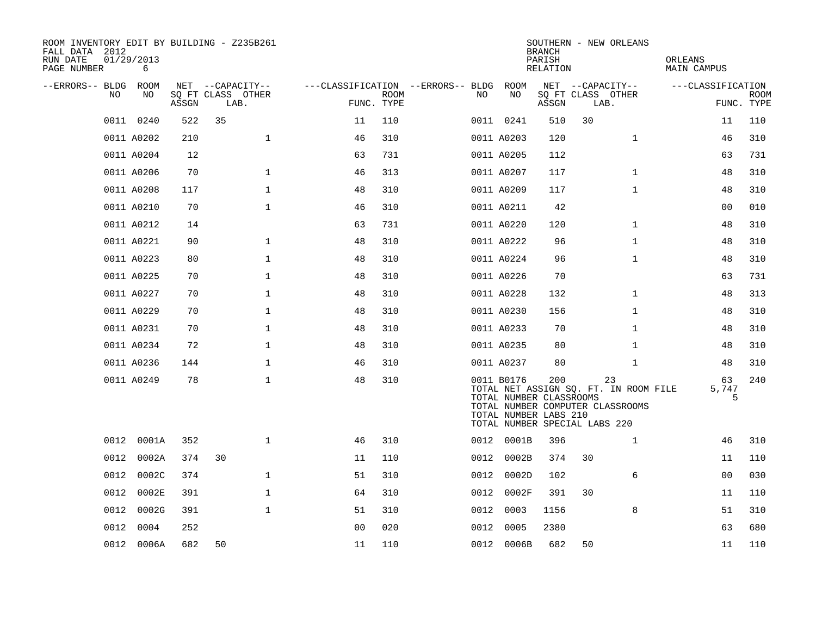| ROOM INVENTORY EDIT BY BUILDING - Z235B261<br>FALL DATA 2012<br>RUN DATE<br>PAGE NUMBER | 01/29/2013<br>6 |       |                           |                |                           |                                   |                                                                                                 | <b>BRANCH</b><br>PARISH<br>RELATION |      | SOUTHERN - NEW ORLEANS                                                          | ORLEANS<br><b>MAIN CAMPUS</b> |                           |
|-----------------------------------------------------------------------------------------|-----------------|-------|---------------------------|----------------|---------------------------|-----------------------------------|-------------------------------------------------------------------------------------------------|-------------------------------------|------|---------------------------------------------------------------------------------|-------------------------------|---------------------------|
| --ERRORS-- BLDG                                                                         | ROOM            |       | NET --CAPACITY--          |                |                           | ---CLASSIFICATION --ERRORS-- BLDG | ROOM                                                                                            |                                     |      | NET --CAPACITY--                                                                | ---CLASSIFICATION             |                           |
| NO                                                                                      | NO              | ASSGN | SQ FT CLASS OTHER<br>LAB. |                | <b>ROOM</b><br>FUNC. TYPE | NO.                               | NO                                                                                              | ASSGN                               | LAB. | SQ FT CLASS OTHER                                                               |                               | <b>ROOM</b><br>FUNC. TYPE |
|                                                                                         | 0011 0240       | 522   | 35                        | 11             | 110                       |                                   | 0011 0241                                                                                       | 510                                 | 30   |                                                                                 | 11                            | 110                       |
|                                                                                         | 0011 A0202      | 210   | $\mathbf{1}$              | 46             | 310                       |                                   | 0011 A0203                                                                                      | 120                                 |      | $\mathbf{1}$                                                                    | 46                            | 310                       |
|                                                                                         | 0011 A0204      | 12    |                           | 63             | 731                       |                                   | 0011 A0205                                                                                      | 112                                 |      |                                                                                 | 63                            | 731                       |
|                                                                                         | 0011 A0206      | 70    | $\mathbf 1$               | 46             | 313                       |                                   | 0011 A0207                                                                                      | 117                                 |      | $\mathbf{1}$                                                                    | 48                            | 310                       |
|                                                                                         | 0011 A0208      | 117   | $\mathbf 1$               | 48             | 310                       |                                   | 0011 A0209                                                                                      | 117                                 |      | $\mathbf{1}$                                                                    | 48                            | 310                       |
|                                                                                         | 0011 A0210      | 70    | $\mathbf{1}$              | 46             | 310                       |                                   | 0011 A0211                                                                                      | 42                                  |      |                                                                                 | 0 <sub>0</sub>                | 010                       |
|                                                                                         | 0011 A0212      | 14    |                           | 63             | 731                       |                                   | 0011 A0220                                                                                      | 120                                 |      | $\mathbf{1}$                                                                    | 48                            | 310                       |
|                                                                                         | 0011 A0221      | 90    | $\mathbf 1$               | 48             | 310                       |                                   | 0011 A0222                                                                                      | 96                                  |      | $\mathbf{1}$                                                                    | 48                            | 310                       |
|                                                                                         | 0011 A0223      | 80    | $\mathbf 1$               | 48             | 310                       |                                   | 0011 A0224                                                                                      | 96                                  |      | $\mathbf{1}$                                                                    | 48                            | 310                       |
|                                                                                         | 0011 A0225      | 70    | $\mathbf{1}$              | 48             | 310                       |                                   | 0011 A0226                                                                                      | 70                                  |      |                                                                                 | 63                            | 731                       |
|                                                                                         | 0011 A0227      | 70    | $\mathbf{1}$              | 48             | 310                       |                                   | 0011 A0228                                                                                      | 132                                 |      | $\mathbf{1}$                                                                    | 48                            | 313                       |
|                                                                                         | 0011 A0229      | 70    | $\mathbf{1}$              | 48             | 310                       |                                   | 0011 A0230                                                                                      | 156                                 |      | $\mathbf{1}$                                                                    | 48                            | 310                       |
|                                                                                         | 0011 A0231      | 70    | $\mathbf{1}$              | 48             | 310                       |                                   | 0011 A0233                                                                                      | 70                                  |      | $\mathbf{1}$                                                                    | 48                            | 310                       |
|                                                                                         | 0011 A0234      | 72    | $\mathbf{1}$              | 48             | 310                       |                                   | 0011 A0235                                                                                      | 80                                  |      | $\mathbf{1}$                                                                    | 48                            | 310                       |
|                                                                                         | 0011 A0236      | 144   | $\mathbf{1}$              | 46             | 310                       |                                   | 0011 A0237                                                                                      | 80                                  |      | $\mathbf{1}$                                                                    | 48                            | 310                       |
|                                                                                         | 0011 A0249      | 78    | $\mathbf 1$               | 48             | 310                       |                                   | 0011 B0176<br>TOTAL NUMBER CLASSROOMS<br>TOTAL NUMBER LABS 210<br>TOTAL NUMBER SPECIAL LABS 220 | 200                                 |      | 23<br>TOTAL NET ASSIGN SQ. FT. IN ROOM FILE<br>TOTAL NUMBER COMPUTER CLASSROOMS | 63<br>5,747<br>5              | 240                       |
| 0012                                                                                    | 0001A           | 352   | $\mathbf{1}$              | 46             | 310                       |                                   | 0012 0001B                                                                                      | 396                                 |      | $\mathbf{1}$                                                                    | 46                            | 310                       |
| 0012                                                                                    | 0002A           | 374   | 30                        | 11             | 110                       |                                   | 0012 0002B                                                                                      | 374                                 | 30   |                                                                                 | 11                            | 110                       |
| 0012                                                                                    | 0002C           | 374   | $\mathbf{1}$              | 51             | 310                       | 0012                              | 0002D                                                                                           | 102                                 |      | 6                                                                               | 0 <sub>0</sub>                | 030                       |
| 0012                                                                                    | 0002E           | 391   | $\mathbf 1$               | 64             | 310                       | 0012                              | 0002F                                                                                           | 391                                 | 30   |                                                                                 | 11                            | 110                       |
| 0012                                                                                    | 0002G           | 391   | $\mathbf{1}$              | 51             | 310                       | 0012                              | 0003                                                                                            | 1156                                |      | 8                                                                               | 51                            | 310                       |
| 0012                                                                                    | 0004            | 252   |                           | 0 <sub>0</sub> | 020                       | 0012                              | 0005                                                                                            | 2380                                |      |                                                                                 | 63                            | 680                       |
|                                                                                         | 0012 0006A      | 682   | 50                        | 11             | 110                       |                                   | 0012 0006B                                                                                      | 682                                 | 50   |                                                                                 | 11                            | 110                       |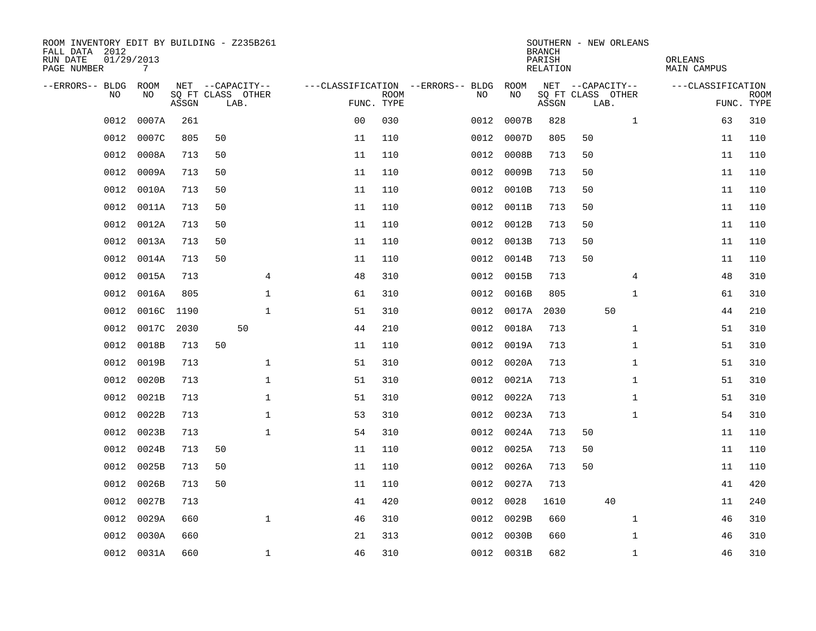| ROOM INVENTORY EDIT BY BUILDING - Z235B261<br>FALL DATA 2012<br>RUN DATE<br>PAGE NUMBER | 01/29/2013<br>$7\overline{ }$ |            |    |                           |                |                           |                                   |            | <b>BRANCH</b><br>PARISH<br>RELATION | SOUTHERN - NEW ORLEANS    | ORLEANS<br>MAIN CAMPUS |                           |
|-----------------------------------------------------------------------------------------|-------------------------------|------------|----|---------------------------|----------------|---------------------------|-----------------------------------|------------|-------------------------------------|---------------------------|------------------------|---------------------------|
| --ERRORS-- BLDG                                                                         | ROOM                          |            |    | NET --CAPACITY--          |                |                           | ---CLASSIFICATION --ERRORS-- BLDG | ROOM       |                                     | NET --CAPACITY--          | ---CLASSIFICATION      |                           |
| N <sub>O</sub>                                                                          | NO.                           | ASSGN      |    | SO FT CLASS OTHER<br>LAB. |                | <b>ROOM</b><br>FUNC. TYPE | NO.                               | NO         | ASSGN                               | SQ FT CLASS OTHER<br>LAB. |                        | <b>ROOM</b><br>FUNC. TYPE |
| 0012                                                                                    | 0007A                         | 261        |    |                           | 0 <sub>0</sub> | 030                       | 0012                              | 0007B      | 828                                 | $\mathbf{1}$              | 63                     | 310                       |
| 0012                                                                                    | 0007C                         | 805        | 50 |                           | 11             | 110                       | 0012                              | 0007D      | 805                                 | 50                        | 11                     | 110                       |
| 0012                                                                                    | 0008A                         | 713        | 50 |                           | 11             | 110                       | 0012                              | 0008B      | 713                                 | 50                        | 11                     | 110                       |
| 0012                                                                                    | 0009A                         | 713        | 50 |                           | 11             | 110                       | 0012                              | 0009B      | 713                                 | 50                        | 11                     | 110                       |
| 0012                                                                                    | 0010A                         | 713        | 50 |                           | 11             | 110                       | 0012                              | 0010B      | 713                                 | 50                        | 11                     | 110                       |
| 0012                                                                                    | 0011A                         | 713        | 50 |                           | 11             | 110                       |                                   | 0012 0011B | 713                                 | 50                        | 11                     | 110                       |
| 0012                                                                                    | 0012A                         | 713        | 50 |                           | 11             | 110                       | 0012                              | 0012B      | 713                                 | 50                        | 11                     | 110                       |
| 0012                                                                                    | 0013A                         | 713        | 50 |                           | 11             | 110                       | 0012                              | 0013B      | 713                                 | 50                        | 11                     | 110                       |
| 0012                                                                                    | 0014A                         | 713        | 50 |                           | 11             | 110                       | 0012                              | 0014B      | 713                                 | 50                        | 11                     | 110                       |
| 0012                                                                                    | 0015A                         | 713        |    | 4                         | 48             | 310                       | 0012                              | 0015B      | 713                                 | 4                         | 48                     | 310                       |
| 0012                                                                                    | 0016A                         | 805        |    | 1                         | 61             | 310                       | 0012                              | 0016B      | 805                                 | $\mathbf{1}$              | 61                     | 310                       |
| 0012                                                                                    |                               | 0016C 1190 |    | $\mathbf{1}$              | 51             | 310                       | 0012                              | 0017A      | 2030                                | 50                        | 44                     | 210                       |
| 0012                                                                                    | 0017C                         | 2030       |    | 50                        | 44             | 210                       | 0012                              | 0018A      | 713                                 | $\mathbf{1}$              | 51                     | 310                       |
| 0012                                                                                    | 0018B                         | 713        | 50 |                           | 11             | 110                       | 0012                              | 0019A      | 713                                 | $\mathbf{1}$              | 51                     | 310                       |
| 0012                                                                                    | 0019B                         | 713        |    | 1                         | 51             | 310                       | 0012                              | 0020A      | 713                                 | $\mathbf{1}$              | 51                     | 310                       |
| 0012                                                                                    | 0020B                         | 713        |    | 1                         | 51             | 310                       | 0012                              | 0021A      | 713                                 | $\mathbf{1}$              | 51                     | 310                       |
| 0012                                                                                    | 0021B                         | 713        |    | 1                         | 51             | 310                       | 0012                              | 0022A      | 713                                 | $\mathbf{1}$              | 51                     | 310                       |
| 0012                                                                                    | 0022B                         | 713        |    | 1                         | 53             | 310                       | 0012                              | 0023A      | 713                                 | $\mathbf{1}$              | 54                     | 310                       |
| 0012                                                                                    | 0023B                         | 713        |    | $\mathbf{1}$              | 54             | 310                       | 0012                              | 0024A      | 713                                 | 50                        | 11                     | 110                       |
| 0012                                                                                    | 0024B                         | 713        | 50 |                           | 11             | 110                       |                                   | 0012 0025A | 713                                 | 50                        | 11                     | 110                       |
| 0012                                                                                    | 0025B                         | 713        | 50 |                           | 11             | 110                       | 0012                              | 0026A      | 713                                 | 50                        | 11                     | 110                       |
| 0012                                                                                    | 0026B                         | 713        | 50 |                           | 11             | 110                       | 0012                              | 0027A      | 713                                 |                           | 41                     | 420                       |
| 0012                                                                                    | 0027B                         | 713        |    |                           | 41             | 420                       | 0012                              | 0028       | 1610                                | 40                        | 11                     | 240                       |
| 0012                                                                                    | 0029A                         | 660        |    | $\mathbf{1}$              | 46             | 310                       |                                   | 0012 0029B | 660                                 | $\mathbf{1}$              | 46                     | 310                       |
| 0012                                                                                    | 0030A                         | 660        |    |                           | 21             | 313                       | 0012                              | 0030B      | 660                                 | $\mathbf{1}$              | 46                     | 310                       |
|                                                                                         | 0012 0031A                    | 660        |    | $\mathbf{1}$              | 46             | 310                       |                                   | 0012 0031B | 682                                 | $\mathbf{1}$              | 46                     | 310                       |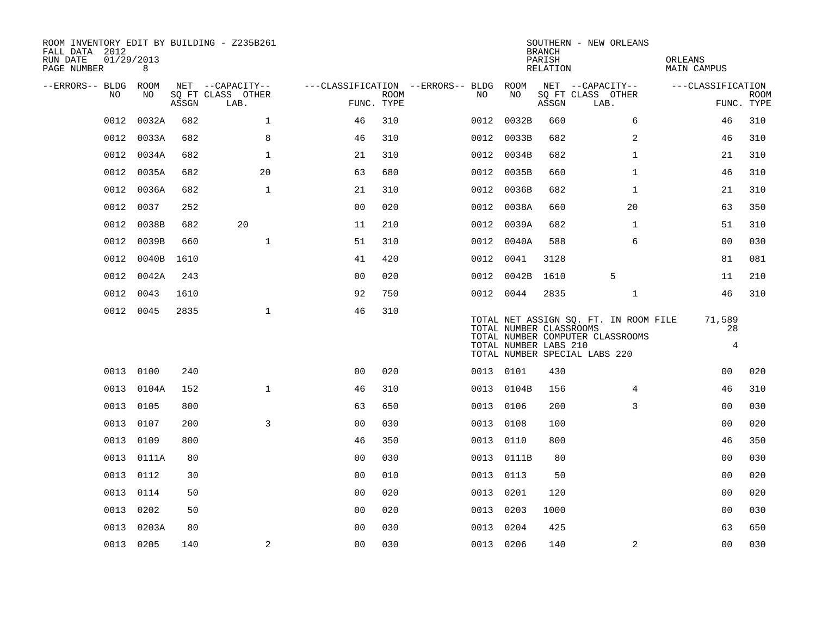| FALL DATA 2012<br>RUN DATE<br>PAGE NUMBER | 01/29/2013 | 8          |       | ROOM INVENTORY EDIT BY BUILDING - Z235B261    |                                                      |             |           |                                                  | <b>BRANCH</b><br>PARISH<br>RELATION | SOUTHERN - NEW ORLEANS                                                                                     | ORLEANS<br><b>MAIN CAMPUS</b>  |                           |
|-------------------------------------------|------------|------------|-------|-----------------------------------------------|------------------------------------------------------|-------------|-----------|--------------------------------------------------|-------------------------------------|------------------------------------------------------------------------------------------------------------|--------------------------------|---------------------------|
| --ERRORS-- BLDG ROOM                      | NO.        | NO.        | ASSGN | NET --CAPACITY--<br>SQ FT CLASS OTHER<br>LAB. | ---CLASSIFICATION --ERRORS-- BLDG ROOM<br>FUNC. TYPE | <b>ROOM</b> | NO.       | NO                                               | ASSGN                               | NET --CAPACITY--<br>SQ FT CLASS OTHER<br>LAB.                                                              | ---CLASSIFICATION              | <b>ROOM</b><br>FUNC. TYPE |
|                                           | 0012       | 0032A      | 682   | $\mathbf{1}$                                  | 46                                                   | 310         |           | 0012 0032B                                       | 660                                 | 6                                                                                                          | 46                             | 310                       |
|                                           | 0012       | 0033A      | 682   | 8                                             | 46                                                   | 310         |           | 0012 0033B                                       | 682                                 | 2                                                                                                          | 46                             | 310                       |
|                                           | 0012       | 0034A      | 682   | $\mathbf{1}$                                  | 21                                                   | 310         |           | 0012 0034B                                       | 682                                 | $\mathbf{1}$                                                                                               | 21                             | 310                       |
|                                           | 0012       | 0035A      | 682   | 20                                            | 63                                                   | 680         |           | 0012 0035B                                       | 660                                 | $\mathbf{1}$                                                                                               | 46                             | 310                       |
|                                           | 0012       | 0036A      | 682   | $\mathbf 1$                                   | 21                                                   | 310         |           | 0012 0036B                                       | 682                                 | $\mathbf{1}$                                                                                               | 21                             | 310                       |
|                                           | 0012       | 0037       | 252   |                                               | 0 <sub>0</sub>                                       | 020         |           | 0012 0038A                                       | 660                                 | 20                                                                                                         | 63                             | 350                       |
|                                           | 0012       | 0038B      | 682   | 20                                            | 11                                                   | 210         |           | 0012 0039A                                       | 682                                 | $\mathbf{1}$                                                                                               | 51                             | 310                       |
|                                           | 0012       | 0039B      | 660   | $\mathbf{1}$                                  | 51                                                   | 310         |           | 0012 0040A                                       | 588                                 | 6                                                                                                          | 0 <sub>0</sub>                 | 030                       |
|                                           | 0012       | 0040B      | 1610  |                                               | 41                                                   | 420         | 0012 0041 |                                                  | 3128                                |                                                                                                            | 81                             | 081                       |
|                                           | 0012       | 0042A      | 243   |                                               | 00                                                   | 020         |           | 0012 0042B                                       | 1610                                | 5                                                                                                          | 11                             | 210                       |
|                                           | 0012 0043  |            | 1610  |                                               | 92                                                   | 750         | 0012 0044 |                                                  | 2835                                | $\mathbf{1}$                                                                                               | 46                             | 310                       |
|                                           | 0012 0045  |            | 2835  | $\mathbf{1}$                                  | 46                                                   | 310         |           | TOTAL NUMBER CLASSROOMS<br>TOTAL NUMBER LABS 210 |                                     | TOTAL NET ASSIGN SQ. FT. IN ROOM FILE<br>TOTAL NUMBER COMPUTER CLASSROOMS<br>TOTAL NUMBER SPECIAL LABS 220 | 71,589<br>28<br>$\overline{4}$ |                           |
|                                           | 0013 0100  |            | 240   |                                               | 0 <sub>0</sub>                                       | 020         | 0013 0101 |                                                  | 430                                 |                                                                                                            | 00                             | 020                       |
|                                           |            | 0013 0104A | 152   | $\mathbf{1}$                                  | 46                                                   | 310         |           | 0013 0104B                                       | 156                                 | 4                                                                                                          | 46                             | 310                       |
|                                           | 0013       | 0105       | 800   |                                               | 63                                                   | 650         | 0013 0106 |                                                  | 200                                 | 3                                                                                                          | 0 <sub>0</sub>                 | 030                       |
|                                           | 0013 0107  |            | 200   | 3                                             | 0 <sub>0</sub>                                       | 0.30        | 0013 0108 |                                                  | 100                                 |                                                                                                            | 0 <sub>0</sub>                 | 020                       |
|                                           | 0013       | 0109       | 800   |                                               | 46                                                   | 350         | 0013 0110 |                                                  | 800                                 |                                                                                                            | 46                             | 350                       |
|                                           | 0013       | 0111A      | 80    |                                               | 0 <sub>0</sub>                                       | 030         |           | 0013 0111B                                       | 80                                  |                                                                                                            | 0 <sub>0</sub>                 | 030                       |
|                                           | 0013       | 0112       | 30    |                                               | 0 <sub>0</sub>                                       | 010         | 0013 0113 |                                                  | 50                                  |                                                                                                            | 0 <sub>0</sub>                 | 020                       |
|                                           | 0013       | 0114       | 50    |                                               | 0 <sub>0</sub>                                       | 020         | 0013 0201 |                                                  | 120                                 |                                                                                                            | 0 <sub>0</sub>                 | 020                       |
|                                           | 0013       | 0202       | 50    |                                               | 00                                                   | 020         | 0013 0203 |                                                  | 1000                                |                                                                                                            | 0 <sub>0</sub>                 | 030                       |
|                                           | 0013       | 0203A      | 80    |                                               | 0 <sub>0</sub>                                       | 030         | 0013      | 0204                                             | 425                                 |                                                                                                            | 63                             | 650                       |
|                                           | 0013 0205  |            | 140   | 2                                             | 00                                                   | 030         | 0013 0206 |                                                  | 140                                 | 2                                                                                                          | 0 <sub>0</sub>                 | 030                       |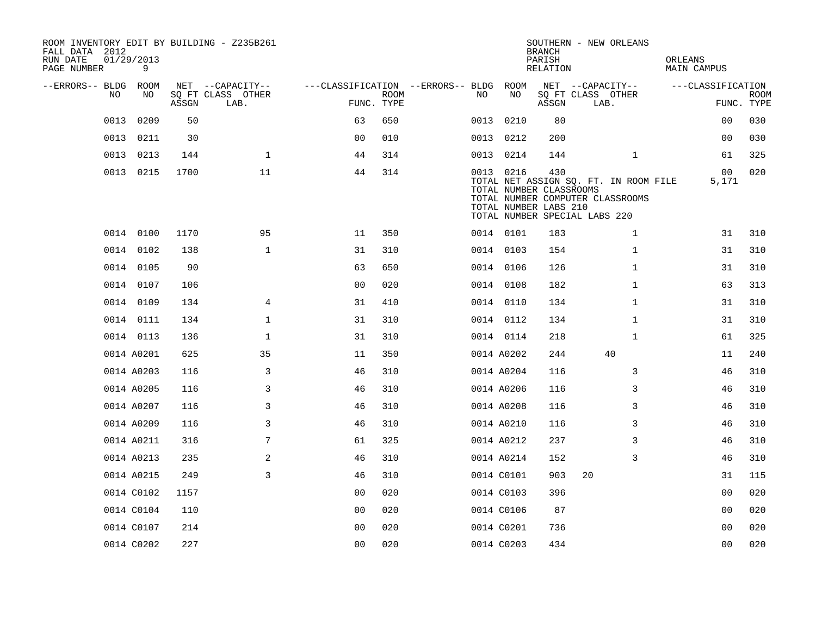| FALL DATA 2012<br>RUN DATE<br>PAGE NUMBER |      | 01/29/2013<br>9 |       | ROOM INVENTORY EDIT BY BUILDING - Z235B261 |                                        |             |    |            | <b>BRANCH</b><br>PARISH<br><b>RELATION</b>                                               |    | SOUTHERN - NEW ORLEANS                                                    | ORLEANS | <b>MAIN CAMPUS</b>      |                           |
|-------------------------------------------|------|-----------------|-------|--------------------------------------------|----------------------------------------|-------------|----|------------|------------------------------------------------------------------------------------------|----|---------------------------------------------------------------------------|---------|-------------------------|---------------------------|
| --ERRORS-- BLDG ROOM                      |      |                 |       | NET --CAPACITY--                           | ---CLASSIFICATION --ERRORS-- BLDG ROOM |             |    |            |                                                                                          |    | NET --CAPACITY--                                                          |         | ---CLASSIFICATION       |                           |
|                                           | NO.  | NO              | ASSGN | SQ FT CLASS OTHER<br>LAB.                  | FUNC. TYPE                             | <b>ROOM</b> | NO | NO         | ASSGN                                                                                    |    | SQ FT CLASS OTHER<br>LAB.                                                 |         |                         | <b>ROOM</b><br>FUNC. TYPE |
|                                           | 0013 | 0209            | 50    |                                            | 63                                     | 650         |    | 0013 0210  | 80                                                                                       |    |                                                                           |         | 00                      | 030                       |
|                                           | 0013 | 0211            | 30    |                                            | 0 <sub>0</sub>                         | 010         |    | 0013 0212  | 200                                                                                      |    |                                                                           |         | 00                      | 030                       |
|                                           |      | 0013 0213       | 144   | $\mathbf 1$                                | 44                                     | 314         |    | 0013 0214  | 144                                                                                      |    | $\mathbf{1}$                                                              |         | 61                      | 325                       |
|                                           |      | 0013 0215       | 1700  | 11                                         | 44                                     | 314         |    | 0013 0216  | 430<br>TOTAL NUMBER CLASSROOMS<br>TOTAL NUMBER LABS 210<br>TOTAL NUMBER SPECIAL LABS 220 |    | TOTAL NET ASSIGN SQ. FT. IN ROOM FILE<br>TOTAL NUMBER COMPUTER CLASSROOMS |         | 0 <sub>0</sub><br>5,171 | 020                       |
|                                           |      | 0014 0100       | 1170  | 95                                         | 11                                     | 350         |    | 0014 0101  | 183                                                                                      |    | $\mathbf{1}$                                                              |         | 31                      | 310                       |
|                                           |      | 0014 0102       | 138   | $\mathbf{1}$                               | 31                                     | 310         |    | 0014 0103  | 154                                                                                      |    | $\mathbf{1}$                                                              |         | 31                      | 310                       |
|                                           |      | 0014 0105       | 90    |                                            | 63                                     | 650         |    | 0014 0106  | 126                                                                                      |    | $\mathbf{1}$                                                              |         | 31                      | 310                       |
|                                           |      | 0014 0107       | 106   |                                            | 0 <sub>0</sub>                         | 020         |    | 0014 0108  | 182                                                                                      |    | $\mathbf{1}$                                                              |         | 63                      | 313                       |
|                                           |      | 0014 0109       | 134   | 4                                          | 31                                     | 410         |    | 0014 0110  | 134                                                                                      |    | $\mathbf{1}$                                                              |         | 31                      | 310                       |
|                                           |      | 0014 0111       | 134   | $\mathbf{1}$                               | 31                                     | 310         |    | 0014 0112  | 134                                                                                      |    | $\mathbf{1}$                                                              |         | 31                      | 310                       |
|                                           |      | 0014 0113       | 136   | $\mathbf{1}$                               | 31                                     | 310         |    | 0014 0114  | 218                                                                                      |    | $\mathbf{1}$                                                              |         | 61                      | 325                       |
|                                           |      | 0014 A0201      | 625   | 35                                         | 11                                     | 350         |    | 0014 A0202 | 244                                                                                      |    | 40                                                                        |         | 11                      | 240                       |
|                                           |      | 0014 A0203      | 116   | 3                                          | 46                                     | 310         |    | 0014 A0204 | 116                                                                                      |    | 3                                                                         |         | 46                      | 310                       |
|                                           |      | 0014 A0205      | 116   | 3                                          | 46                                     | 310         |    | 0014 A0206 | 116                                                                                      |    | 3                                                                         |         | 46                      | 310                       |
|                                           |      | 0014 A0207      | 116   | 3                                          | 46                                     | 310         |    | 0014 A0208 | 116                                                                                      |    | 3                                                                         |         | 46                      | 310                       |
|                                           |      | 0014 A0209      | 116   | 3                                          | 46                                     | 310         |    | 0014 A0210 | 116                                                                                      |    | 3                                                                         |         | 46                      | 310                       |
|                                           |      | 0014 A0211      | 316   | 7                                          | 61                                     | 325         |    | 0014 A0212 | 237                                                                                      |    | 3                                                                         |         | 46                      | 310                       |
|                                           |      | 0014 A0213      | 235   | 2                                          | 46                                     | 310         |    | 0014 A0214 | 152                                                                                      |    | 3                                                                         |         | 46                      | 310                       |
|                                           |      | 0014 A0215      | 249   | 3                                          | 46                                     | 310         |    | 0014 C0101 | 903                                                                                      | 20 |                                                                           |         | 31                      | 115                       |
|                                           |      | 0014 C0102      | 1157  |                                            | 0 <sub>0</sub>                         | 020         |    | 0014 C0103 | 396                                                                                      |    |                                                                           |         | 00                      | 020                       |
|                                           |      | 0014 C0104      | 110   |                                            | 00                                     | 020         |    | 0014 C0106 | 87                                                                                       |    |                                                                           |         | 00                      | 020                       |
|                                           |      | 0014 C0107      | 214   |                                            | 0 <sub>0</sub>                         | 020         |    | 0014 C0201 | 736                                                                                      |    |                                                                           |         | 0 <sub>0</sub>          | 020                       |
|                                           |      | 0014 C0202      | 227   |                                            | 0 <sub>0</sub>                         | 020         |    | 0014 C0203 | 434                                                                                      |    |                                                                           |         | 0 <sub>0</sub>          | 020                       |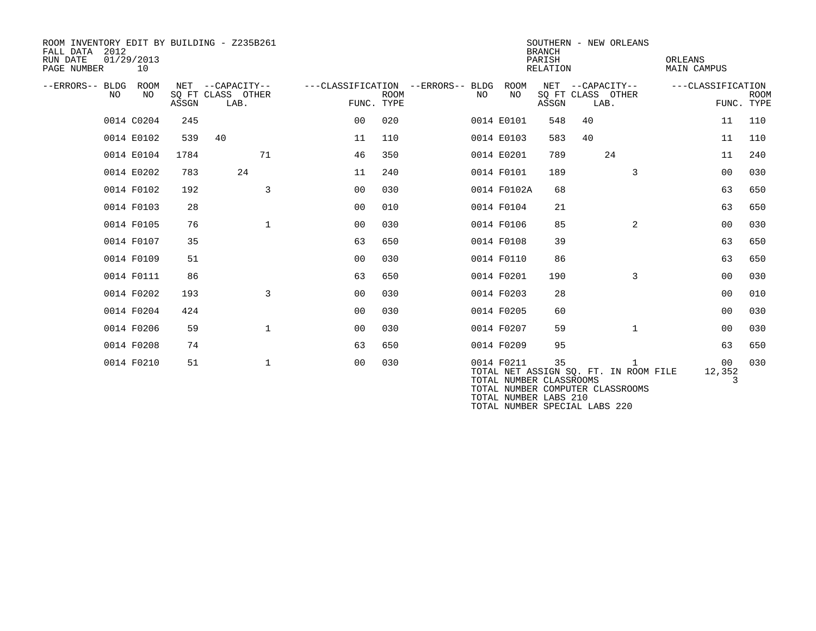| ROOM INVENTORY EDIT BY BUILDING - Z235B261<br>2012<br>FALL DATA<br>RUN DATE<br>PAGE NUMBER | 01/29/2013<br>10 |       |                                               |                |             |                                         |                    | <b>BRANCH</b><br>PARISH<br><b>RELATION</b> | SOUTHERN - NEW ORLEANS                                                    | <b>ORLEANS</b><br>MAIN CAMPUS  |                           |
|--------------------------------------------------------------------------------------------|------------------|-------|-----------------------------------------------|----------------|-------------|-----------------------------------------|--------------------|--------------------------------------------|---------------------------------------------------------------------------|--------------------------------|---------------------------|
| --ERRORS-- BLDG<br>NO                                                                      | ROOM<br>NO.      | ASSGN | NET --CAPACITY--<br>SQ FT CLASS OTHER<br>LAB. | FUNC. TYPE     | <b>ROOM</b> | ---CLASSIFICATION --ERRORS-- BLDG<br>NO | <b>ROOM</b><br>NO. | NET<br>ASSGN                               | --CAPACITY--<br>SQ FT CLASS OTHER<br>LAB.                                 | ---CLASSIFICATION              | <b>ROOM</b><br>FUNC. TYPE |
|                                                                                            | 0014 C0204       | 245   |                                               | 00             | 020         |                                         | 0014 E0101         | 548                                        | 40                                                                        | 11                             | 110                       |
|                                                                                            | 0014 E0102       | 539   | 40                                            | 11             | 110         |                                         | 0014 E0103         | 583                                        | 40                                                                        | 11                             | 110                       |
|                                                                                            | 0014 E0104       | 1784  | 71                                            | 46             | 350         |                                         | 0014 E0201         | 789                                        | 24                                                                        | 11                             | 240                       |
|                                                                                            | 0014 E0202       | 783   | 24                                            | 11             | 240         |                                         | 0014 F0101         | 189                                        | 3                                                                         | 00                             | 030                       |
|                                                                                            | 0014 F0102       | 192   | 3                                             | 00             | 030         |                                         | 0014 F0102A        | 68                                         |                                                                           | 63                             | 650                       |
|                                                                                            | 0014 F0103       | 28    |                                               | 0 <sub>0</sub> | 010         |                                         | 0014 F0104         | 21                                         |                                                                           | 63                             | 650                       |
|                                                                                            | 0014 F0105       | 76    | $\mathbf{1}$                                  | 0 <sub>0</sub> | 030         |                                         | 0014 F0106         | 85                                         | $\overline{2}$                                                            | 00                             | 030                       |
|                                                                                            | 0014 F0107       | 35    |                                               | 63             | 650         |                                         | 0014 F0108         | 39                                         |                                                                           | 63                             | 650                       |
|                                                                                            | 0014 F0109       | 51    |                                               | 0 <sub>0</sub> | 030         |                                         | 0014 F0110         | 86                                         |                                                                           | 63                             | 650                       |
|                                                                                            | 0014 F0111       | 86    |                                               | 63             | 650         |                                         | 0014 F0201         | 190                                        | 3                                                                         | 00                             | 030                       |
|                                                                                            | 0014 F0202       | 193   | $\mathbf{3}$                                  | 00             | 030         |                                         | 0014 F0203         | 28                                         |                                                                           | 00                             | 010                       |
|                                                                                            | 0014 F0204       | 424   |                                               | 00             | 030         |                                         | 0014 F0205         | 60                                         |                                                                           | 00                             | 030                       |
|                                                                                            | 0014 F0206       | 59    | $\mathbf{1}$                                  | 0 <sub>0</sub> | 030         |                                         | 0014 F0207         | 59                                         | $\mathbf{1}$                                                              | 00                             | 030                       |
|                                                                                            | 0014 F0208       | 74    |                                               | 63             | 650         |                                         | 0014 F0209         | 95                                         |                                                                           | 63                             | 650                       |
|                                                                                            | 0014 F0210       | 51    | $\mathbf 1$                                   | 0 <sub>0</sub> | 030         |                                         | 0014 F0211         | 35<br>TOTAL NUMBER CLASSROOMS              | TOTAL NET ASSIGN SQ. FT. IN ROOM FILE<br>TOTAL NUMBER COMPUTER CLASSROOMS | 00 <sup>o</sup><br>12,352<br>3 | 030                       |

TOTAL NUMBER LABS 210

TOTAL NUMBER SPECIAL LABS 220